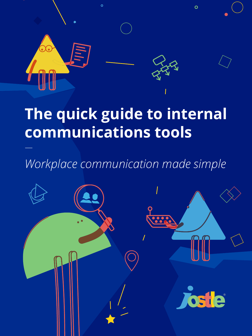

# **The quick guide to internal communications tools**

## *Workplace communication made simple*

—

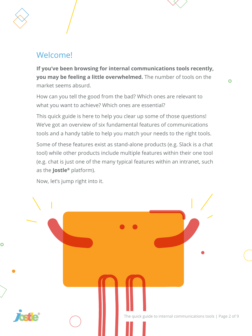#### Welcome!

**If you've been browsing for internal communications tools recently, you may be feeling a little overwhelmed.** The number of tools on the market seems absurd.

How can you tell the good from the bad? Which ones are relevant to what you want to achieve? Which ones are essential?

This quick guide is here to help you clear up some of those questions! We've got an overview of six fundamental features of communications tools and a handy table to help you match your needs to the right tools.

Some of these features exist as stand-alone products (e.g. Slack is a chat tool) while other products include multiple features within their one tool (e.g. chat is just one of the many typical features within an intranet, such as the **Jostle®** platform).

Now, let's jump right into it.

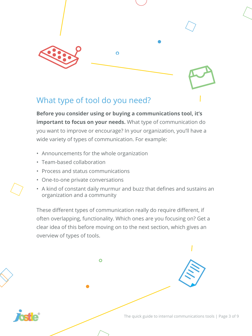

#### What type of tool do you need?

**Before you consider using or buying a communications tool, it's important to focus on your needs.** What type of communication do you want to improve or encourage? In your organization, you'll have a wide variety of types of communication. For example:

- Announcements for the whole organization
- Team-based collaboration
- Process and status communications
- One-to-one private conversations
- A kind of constant daily murmur and buzz that defines and sustains an organization and a community

These different types of communication really do require different, if often overlapping, functionality. Which ones are you focusing on? Get a clear idea of this before moving on to the next section, which gives an overview of types of tools.

 $\overline{O}$ The quick guide to internal communications tools | Page 3 of 9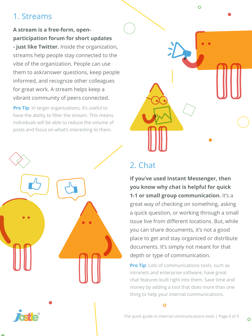### 1. Streams

#### **A stream is a free-form, openparticipation forum for short updates**

**- just like Twitter.** Inside the organization, streams help people stay connected to the vibe of the organization. People can use them to ask/answer questions, keep people informed, and recognize other colleagues for great work. A stream helps keep a vibrant community of peers connected.

**Pro Tip:** In larger organizations, it's useful to have the ability to filter the stream. This means individuals will be able to reduce the volume of posts and focus on what's interesting to them.





## 2. Chat

**If you've used Instant Messenger, then you know why chat is helpful for quick 1-1 or small group communication.** It's a great way of checking on something, asking a quick question, or working through a small issue live from different locations. But, while you can share documents, it's not a good place to get and stay organized or distribute documents. It's simply not meant for that depth or type of communication.

**Pro Tip:** Lots of communications tools, such as intranets and enterprise software, have great chat features built right into them. Save time and money by adding a tool that does more than one thing to help your internal communications.

 $\overline{O}$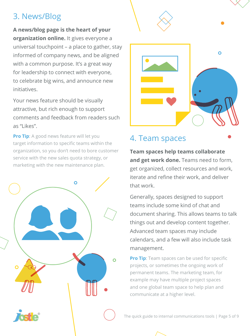### 3. News/Blog

**A news/blog page is the heart of your organization online.** It gives everyone a universal touchpoint – a place to gather, stay informed of company news, and be aligned with a common purpose. It's a great way for leadership to connect with everyone, to celebrate big wins, and announce new initiatives.

Your news feature should be visually attractive, but rich enough to support comments and feedback from readers such as "Likes".

**Pro Tip:** A good news feature will let you target information to specific teams within the organization, so you don't need to bore customer service with the new sales quota strategy, or marketing with the new maintenance plan.





#### 4. Team spaces

**Team spaces help teams collaborate and get work done.** Teams need to form, get organized, collect resources and work, iterate and refine their work, and deliver that work.

Generally, spaces designed to support teams include some kind of chat and document sharing. This allows teams to talk things out and develop content together. Advanced team spaces may include calendars, and a few will also include task management.

**Pro Tip:** Team spaces can be used for specific projects, or sometimes the ongoing work of permanent teams. The marketing team, for example may have multiple project spaces and one global team space to help plan and communicate at a higher level.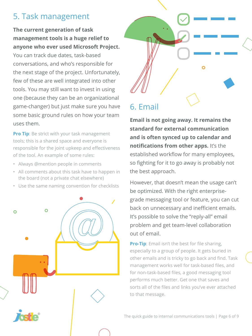#### 5. Task management

#### **The current generation of task management tools is a huge relief to anyone who ever used Microsoft Project.**

You can track due dates, task-based conversations, and who's responsible for the next stage of the project. Unfortunately, few of these are well integrated into other tools. You may still want to invest in using one (because they can be an organizational game-changer) but just make sure you have some basic ground rules on how your team uses them.

**Pro Tip:** Be strict with your task management tools; this is a shared space and everyone is responsible for the joint upkeep and effectiveness of the tool. An example of some rules:

- Always @mention people in comments
- All comments about this task have to happen in the board (not a private chat elsewhere)
- Use the same naming convention for checklists





**Email is not going away. It remains the standard for external communication and is often synced up to calendar and notifications from other apps.** It's the established workflow for many employees, so fighting for it to go away is probably not the best approach.

However, that doesn't mean the usage can't be optimized. With the right enterprisegrade messaging tool or feature, you can cut back on unnecessary and inefficient emails. It's possible to solve the "reply-all" email problem and get team-level collaboration out of email.

**Pro-Tip:** Email isn't the best for file sharing, especially to a group of people. It gets buried in other emails and is tricky to go back and find. Task management works well for task-based files, and for non-task-based files, a good messaging tool performs much better. Get one that saves and sorts all of the files and links you've ever attached to that message.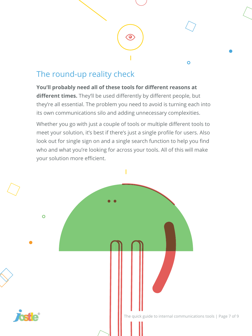### The round-up reality check

**You'll probably need all of these tools for different reasons at different times.** They'll be used differently by different people, but they're all essential. The problem you need to avoid is turning each into its own communications silo and adding unnecessary complexities.

 $\bullet$ 

 $\overline{O}$ 

Whether you go with just a couple of tools or multiple different tools to meet your solution, it's best if there's just a single profile for users. Also look out for single sign on and a single search function to help you find who and what you're looking for across your tools. All of this will make your solution more efficient.

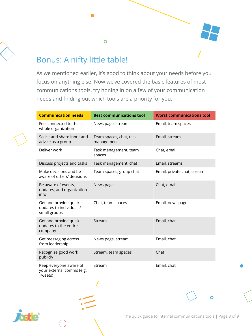

#### Bonus: A nifty little table!

 $\overline{O}$ 

As we mentioned earlier, it's good to think about your needs before you focus on anything else. Now we've covered the basic features of most communications tools, try honing in on a few of your communication needs and finding out which tools are a priority for you.

| <b>Communication needs</b>                                       | <b>Best communications tool</b>       | <b>Worst communications tool</b> |
|------------------------------------------------------------------|---------------------------------------|----------------------------------|
| Feel connected to the<br>whole organization                      | News page, stream                     | Email, team spaces               |
| Solicit and share input and<br>advice as a group                 | Team spaces, chat, task<br>management | Email, stream                    |
| Deliver work                                                     | Task management, team<br>spaces       | Chat, email                      |
| Discuss projects and tasks                                       | Task management, chat                 | Email, streams                   |
| Make decisions and be<br>aware of others' decisions              | Team spaces, group chat               | Email, private chat, stream      |
| Be aware of events,<br>updates, and organization<br>info         | News page                             | Chat, email                      |
| Get and provide quick<br>updates to individuals/<br>small groups | Chat, team spaces                     | Email, news page                 |
| Get and provide quick<br>updates to the entire<br>company        | Stream                                | Email, chat                      |
| Get messaging across<br>from leadership                          | News page, stream                     | Email, chat                      |
| Recognize good work<br>publicly                                  | Stream, team spaces                   | Chat                             |
| Keep everyone aware of<br>your external comms (e.g.<br>Tweets)   | Stream<br>$\mathcal{L}$               | Email, chat                      |



The quick guide to internal communications tools | Page 8 of 9

 $\Omega$